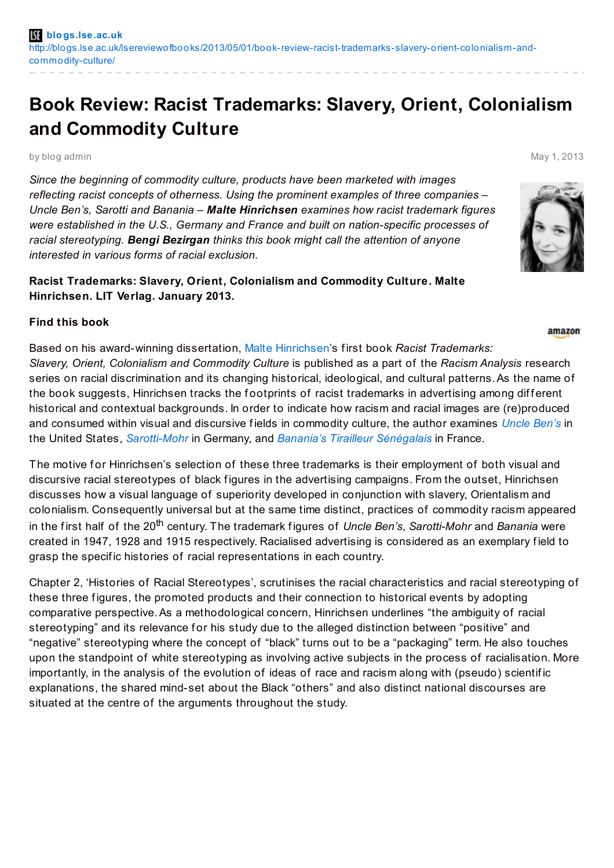## **Book Review: Racist Trademarks: Slavery, Orient, Colonialism and Commodity Culture**

by blog admin May 1, 2013

*Since the beginning of commodity culture, products have been marketed with images reflecting racist concepts of otherness. Using the prominent examples of three companies – Uncle Ben's, Sarotti and Banania – Malte Hinrichsen examines how racist trademark figures were established in the U.S., Germany and France and built on nation-specific processes of racial stereotyping. Bengi Bezirgan thinks this book might call the attention of anyone interested in various forms of racial exclusion.*

**Racist Trademarks: Slavery, Orient, Colonialism and Commodity Culture. Malte Hinrichsen. LIT Verlag. January 2013.**

## **Find this book**

Based on his award-winning dissertation, Malte [Hinrichsen](http://www.polcomm.org/members/malte-hinrichsen/)'s f irst book *Racist Trademarks: Slavery, Orient, Colonialism and Commodity Culture* is published as a part of the *Racism Analysis* research series on racial discrimination and its changing historical, ideological, and cultural patterns. As the name of the book suggests, Hinrichsen tracks the footprints of racist trademarks in advertising among different historical and contextual backgrounds. In order to indicate how racism and racial images are (re)produced and consumed within visual and discursive f ields in commodity culture, the author examines *[Uncle](http://www.unclebens.com/) Ben's* in the United States, *[Sarotti-Mohr](http://www.sarotti.de/)* in Germany, and *Banania's Tirailleur [Sénégalais](https://www.google.co.uk/search?q=Banania+Tirailleur+S%C3%A9n%C3%A9galais&tbm=isch&tbo=u&source=univ&sa=X&ei=JO2AUZKjCYqz0QWBn4DoBw&ved=0CE8QsAQ&biw=1195&bih=776)* in France.

The motive for Hinrichsen's selection of these three trademarks is their employment of both visual and discursive racial stereotypes of black figures in the advertising campaigns. From the outset, Hinrichsen discusses how a visual language of superiority developed in conjunction with slavery, Orientalism and colonialism. Consequently universal but at the same time distinct, practices of commodity racism appeared in the first half of the 20<sup>th</sup> century. The trademark figures of *Uncle Ben's, Sarotti-Mohr* and *Banania* were created in 1947, 1928 and 1915 respectively. Racialised advertising is considered as an exemplary f ield to grasp the specif ic histories of racial representations in each country.

Chapter 2, 'Histories of Racial Stereotypes', scrutinises the racial characteristics and racial stereotyping of these three figures, the promoted products and their connection to historical events by adopting comparative perspective.As a methodological concern, Hinrichsen underlines "the ambiguity of racial stereotyping" and its relevance for his study due to the alleged distinction between "positive" and "negative" stereotyping where the concept of "black" turns out to be a "packaging" term. He also touches upon the standpoint of white stereotyping as involving active subjects in the process of racialisation. More importantly, in the analysis of the evolution of ideas of race and racism along with (pseudo) scientif ic explanations, the shared mind-set about the Black "others" and also distinct national discourses are situated at the centre of the arguments throughout the study.



amazon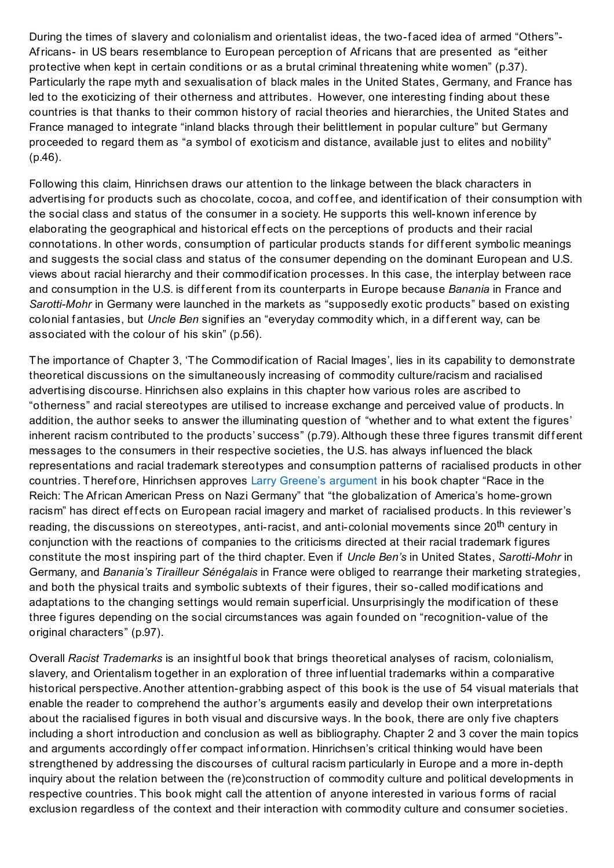During the times of slavery and colonialism and orientalist ideas, the two-faced idea of armed "Others"-Africans- in US bears resemblance to European perception of Africans that are presented as "either protective when kept in certain conditions or as a brutal criminal threatening white women" (p.37). Particularly the rape myth and sexualisation of black males in the United States, Germany, and France has led to the exoticizing of their otherness and attributes. However, one interesting finding about these countries is that thanks to their common history of racial theories and hierarchies, the United States and France managed to integrate "inland blacks through their belittlement in popular culture" but Germany proceeded to regard them as "a symbol of exoticism and distance, available just to elites and nobility" (p.46).

Following this claim, Hinrichsen draws our attention to the linkage between the black characters in advertising for products such as chocolate, cocoa, and coffee, and identification of their consumption with the social class and status of the consumer in a society. He supports this well-known inf erence by elaborating the geographical and historical effects on the perceptions of products and their racial connotations. In other words, consumption of particular products stands for different symbolic meanings and suggests the social class and status of the consumer depending on the dominant European and U.S. views about racial hierarchy and their commodif ication processes. In this case, the interplay between race and consumption in the U.S. is different from its counterparts in Europe because *Banania* in France and *Sarotti-Mohr* in Germany were launched in the markets as "supposedly exotic products" based on existing colonial fantasies, but *Uncle Ben* signifies an "everyday commodity which, in a different way, can be associated with the colour of his skin" (p.56).

The importance of Chapter 3, 'The Commodif ication of Racial Images', lies in its capability to demonstrate theoretical discussions on the simultaneously increasing of commodity culture/racism and racialised advertising discourse. Hinrichsen also explains in this chapter how various roles are ascribed to "otherness" and racial stereotypes are utilised to increase exchange and perceived value of products. In addition, the author seeks to answer the illuminating question of "whether and to what extent the figures' inherent racism contributed to the products' success" (p.79). Although these three figures transmit different messages to the consumers in their respective societies, the U.S. has always inf luenced the black representations and racial trademark stereotypes and consumption patterns of racialised products in other countries. Therefore, Hinrichsen approves Larry Greene's [argument](http://www.jstor.org/stable/j.ctt12f622) in his book chapter "Race in the Reich: The African American Press on Nazi Germany" that "the globalization of America's home-grown racism" has direct effects on European racial imagery and market of racialised products. In this reviewer's reading, the discussions on stereotypes, anti-racist, and anti-colonial movements since 20<sup>th</sup> century in conjunction with the reactions of companies to the criticisms directed at their racial trademark f igures constitute the most inspiring part of the third chapter. Even if *Uncle Ben's* in United States, *Sarotti-Mohr* in Germany, and *Banania's Tirailleur Sénégalais* in France were obliged to rearrange their marketing strategies, and both the physical traits and symbolic subtexts of their figures, their so-called modifications and adaptations to the changing settings would remain superficial. Unsurprisingly the modification of these three figures depending on the social circumstances was again founded on "recognition-value of the original characters" (p.97).

Overall *Racist Trademarks* is an insightf ul book that brings theoretical analyses of racism, colonialism, slavery, and Orientalism together in an exploration of three inf luential trademarks within a comparative historical perspective. Another attention-grabbing aspect of this book is the use of 54 visual materials that enable the reader to comprehend the author's arguments easily and develop their own interpretations about the racialised figures in both visual and discursive ways. In the book, there are only five chapters including a short introduction and conclusion as well as bibliography. Chapter 2 and 3 cover the main topics and arguments accordingly offer compact information. Hinrichsen's critical thinking would have been strengthened by addressing the discourses of cultural racism particularly in Europe and a more in-depth inquiry about the relation between the (re)construction of commodity culture and political developments in respective countries. This book might call the attention of anyone interested in various forms of racial exclusion regardless of the context and their interaction with commodity culture and consumer societies.